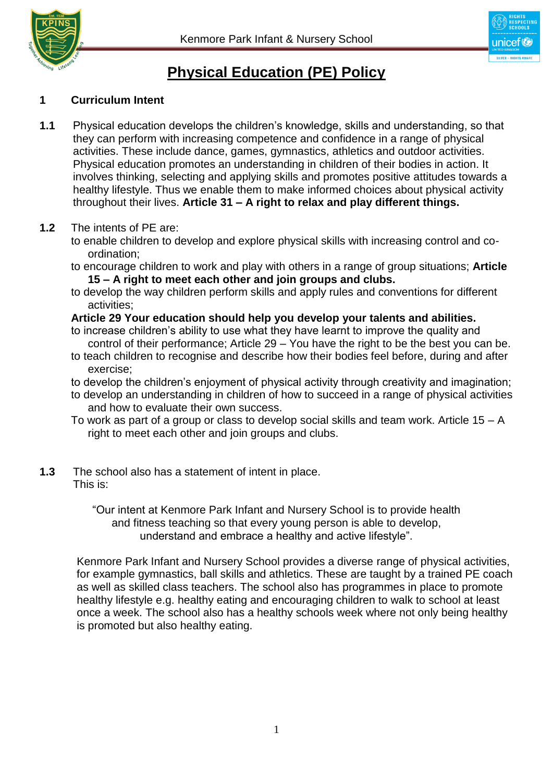



# **Physical Education (PE) Policy**

## **1 Curriculum Intent**

**1.1** Physical education develops the children's knowledge, skills and understanding, so that they can perform with increasing competence and confidence in a range of physical activities. These include dance, games, gymnastics, athletics and outdoor activities. Physical education promotes an understanding in children of their bodies in action. It involves thinking, selecting and applying skills and promotes positive attitudes towards a healthy lifestyle. Thus we enable them to make informed choices about physical activity throughout their lives. **Article 31 – A right to relax and play different things.** 

#### **1.2** The intents of PE are:

- to enable children to develop and explore physical skills with increasing control and coordination;
- to encourage children to work and play with others in a range of group situations; **Article 15 – A right to meet each other and join groups and clubs.**
- to develop the way children perform skills and apply rules and conventions for different activities;

## **Article 29 Your education should help you develop your talents and abilities.**

- to increase children's ability to use what they have learnt to improve the quality and control of their performance; Article 29 – You have the right to be the best you can be.
- to teach children to recognise and describe how their bodies feel before, during and after exercise;
- to develop the children's enjoyment of physical activity through creativity and imagination;
- to develop an understanding in children of how to succeed in a range of physical activities and how to evaluate their own success.
- To work as part of a group or class to develop social skills and team work. Article 15 A right to meet each other and join groups and clubs.

#### **1.3** The school also has a statement of intent in place. This is:

"Our intent at Kenmore Park Infant and Nursery School is to provide health and fitness teaching so that every young person is able to develop, understand and embrace a healthy and active lifestyle".

 Kenmore Park Infant and Nursery School provides a diverse range of physical activities, for example gymnastics, ball skills and athletics. These are taught by a trained PE coach as well as skilled class teachers. The school also has programmes in place to promote healthy lifestyle e.g. healthy eating and encouraging children to walk to school at least once a week. The school also has a healthy schools week where not only being healthy is promoted but also healthy eating.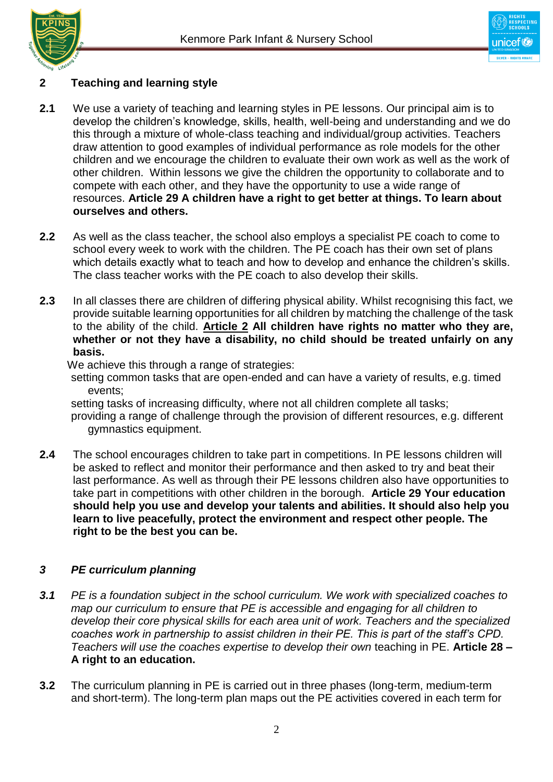



## **2 Teaching and learning style**

- **2.1** We use a variety of teaching and learning styles in PE lessons. Our principal aim is to develop the children's knowledge, skills, health, well-being and understanding and we do this through a mixture of whole-class teaching and individual/group activities. Teachers draw attention to good examples of individual performance as role models for the other children and we encourage the children to evaluate their own work as well as the work of other children. Within lessons we give the children the opportunity to collaborate and to compete with each other, and they have the opportunity to use a wide range of resources. **Article 29 A children have a right to get better at things. To learn about ourselves and others.**
- **2.2** As well as the class teacher, the school also employs a specialist PE coach to come to school every week to work with the children. The PE coach has their own set of plans which details exactly what to teach and how to develop and enhance the children's skills. The class teacher works with the PE coach to also develop their skills.
- **2.3** In all classes there are children of differing physical ability. Whilst recognising this fact, we provide suitable learning opportunities for all children by matching the challenge of the task to the ability of the child. **Article 2 All children have rights no matter who they are, whether or not they have a disability, no child should be treated unfairly on any basis.**

We achieve this through a range of strategies:

setting common tasks that are open-ended and can have a variety of results, e.g. timed events;

setting tasks of increasing difficulty, where not all children complete all tasks;

providing a range of challenge through the provision of different resources, e.g. different gymnastics equipment.

**2.4** The school encourages children to take part in competitions. In PE lessons children will be asked to reflect and monitor their performance and then asked to try and beat their last performance. As well as through their PE lessons children also have opportunities to take part in competitions with other children in the borough. **Article 29 Your education should help you use and develop your talents and abilities. It should also help you learn to live peacefully, protect the environment and respect other people. The right to be the best you can be.** 

## *3 PE curriculum planning*

- *3.1 PE is a foundation subject in the school curriculum. We work with specialized coaches to map our curriculum to ensure that PE is accessible and engaging for all children to develop their core physical skills for each area unit of work. Teachers and the specialized coaches work in partnership to assist children in their PE. This is part of the staff's CPD. Teachers will use the coaches expertise to develop their own* teaching in PE. **Article 28 – A right to an education.**
- **3.2** The curriculum planning in PE is carried out in three phases (long-term, medium-term and short-term). The long-term plan maps out the PE activities covered in each term for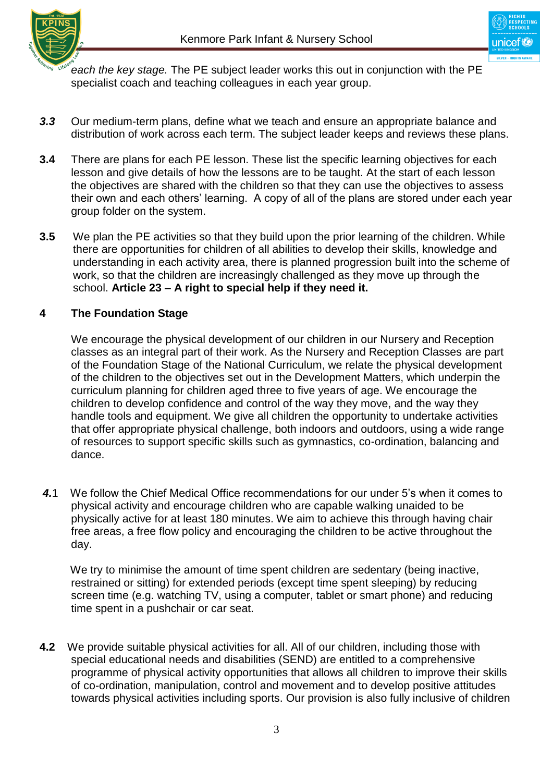



*each the key stage.* The PE subject leader works this out in conjunction with the PE specialist coach and teaching colleagues in each year group.

- *3.3* Our medium-term plans, define what we teach and ensure an appropriate balance and distribution of work across each term. The subject leader keeps and reviews these plans.
- **3.4** There are plans for each PE lesson. These list the specific learning objectives for each lesson and give details of how the lessons are to be taught. At the start of each lesson the objectives are shared with the children so that they can use the objectives to assess their own and each others' learning. A copy of all of the plans are stored under each year group folder on the system.
- **3.5** We plan the PE activities so that they build upon the prior learning of the children. While there are opportunities for children of all abilities to develop their skills, knowledge and understanding in each activity area, there is planned progression built into the scheme of work, so that the children are increasingly challenged as they move up through the school. **Article 23 – A right to special help if they need it.**

## **4 The Foundation Stage**

We encourage the physical development of our children in our Nursery and Reception classes as an integral part of their work. As the Nursery and Reception Classes are part of the Foundation Stage of the National Curriculum, we relate the physical development of the children to the objectives set out in the Development Matters, which underpin the curriculum planning for children aged three to five years of age. We encourage the children to develop confidence and control of the way they move, and the way they handle tools and equipment. We give all children the opportunity to undertake activities that offer appropriate physical challenge, both indoors and outdoors, using a wide range of resources to support specific skills such as gymnastics, co-ordination, balancing and dance.

*4.*1 We follow the Chief Medical Office recommendations for our under 5's when it comes to physical activity and encourage children who are capable walking unaided to be physically active for at least 180 minutes. We aim to achieve this through having chair free areas, a free flow policy and encouraging the children to be active throughout the day.

 We try to minimise the amount of time spent children are sedentary (being inactive, restrained or sitting) for extended periods (except time spent sleeping) by reducing screen time (e.g. watching TV, using a computer, tablet or smart phone) and reducing time spent in a pushchair or car seat.

**4.2** We provide suitable physical activities for all. All of our children, including those with special educational needs and disabilities (SEND) are entitled to a comprehensive programme of physical activity opportunities that allows all children to improve their skills of co-ordination, manipulation, control and movement and to develop positive attitudes towards physical activities including sports. Our provision is also fully inclusive of children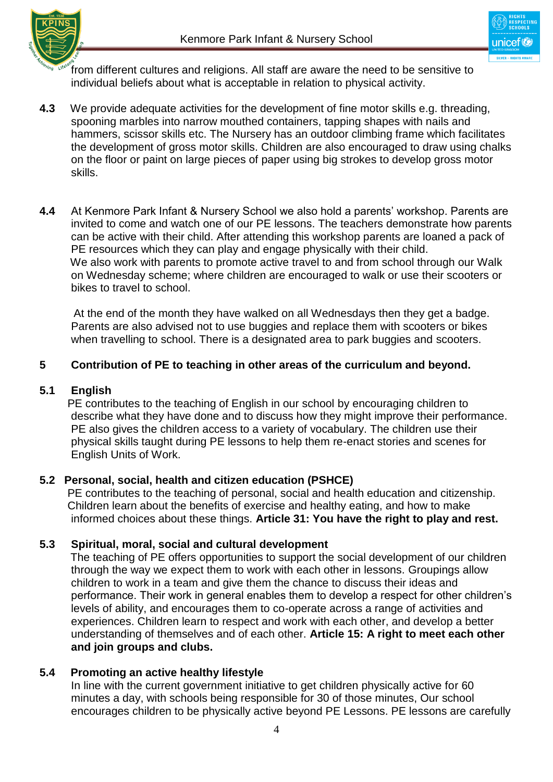

Inicot<sup>1</sup>

from different cultures and religions. All staff are aware the need to be sensitive to individual beliefs about what is acceptable in relation to physical activity.

- **4.3** We provide adequate activities for the development of fine motor skills e.g. threading, spooning marbles into narrow mouthed containers, tapping shapes with nails and hammers, scissor skills etc. The Nursery has an outdoor climbing frame which facilitates the development of gross motor skills. Children are also encouraged to draw using chalks on the floor or paint on large pieces of paper using big strokes to develop gross motor skills.
- **4.4** At Kenmore Park Infant & Nursery School we also hold a parents' workshop. Parents are invited to come and watch one of our PE lessons. The teachers demonstrate how parents can be active with their child. After attending this workshop parents are loaned a pack of PE resources which they can play and engage physically with their child. We also work with parents to promote active travel to and from school through our Walk on Wednesday scheme; where children are encouraged to walk or use their scooters or bikes to travel to school.

 At the end of the month they have walked on all Wednesdays then they get a badge. Parents are also advised not to use buggies and replace them with scooters or bikes when travelling to school. There is a designated area to park buggies and scooters.

## **5 Contribution of PE to teaching in other areas of the curriculum and beyond.**

#### **5.1 English**

 PE contributes to the teaching of English in our school by encouraging children to describe what they have done and to discuss how they might improve their performance. PE also gives the children access to a variety of vocabulary. The children use their physical skills taught during PE lessons to help them re-enact stories and scenes for English Units of Work.

# **5.2 Personal, social, health and citizen education (PSHCE)**

 PE contributes to the teaching of personal, social and health education and citizenship. Children learn about the benefits of exercise and healthy eating, and how to make informed choices about these things. **Article 31: You have the right to play and rest.**

# **5.3 Spiritual, moral, social and cultural development**

 The teaching of PE offers opportunities to support the social development of our children through the way we expect them to work with each other in lessons. Groupings allow children to work in a team and give them the chance to discuss their ideas and performance. Their work in general enables them to develop a respect for other children's levels of ability, and encourages them to co-operate across a range of activities and experiences. Children learn to respect and work with each other, and develop a better understanding of themselves and of each other. **Article 15: A right to meet each other and join groups and clubs.**

## **5.4 Promoting an active healthy lifestyle**

In line with the current government initiative to get children physically active for 60 minutes a day, with schools being responsible for 30 of those minutes, Our school encourages children to be physically active beyond PE Lessons. PE lessons are carefully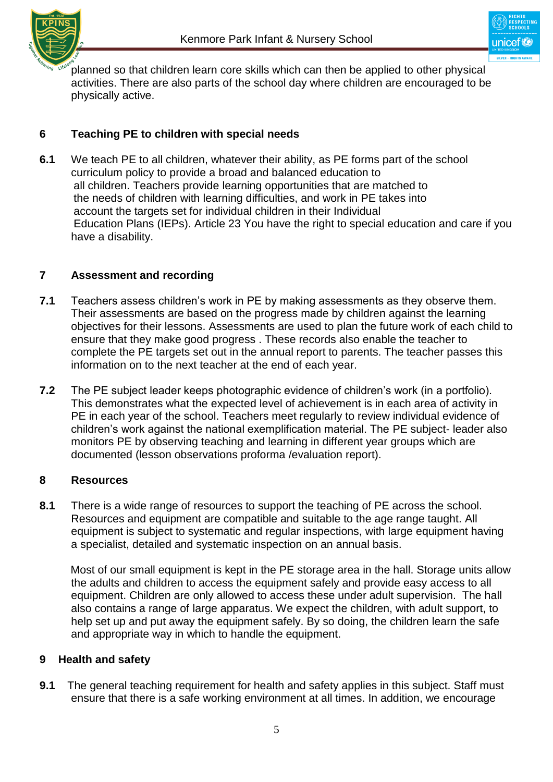

planned so that children learn core skills which can then be applied to other physical activities. There are also parts of the school day where children are encouraged to be physically active.

# **6 Teaching PE to children with special needs**

**6.1** We teach PE to all children, whatever their ability, as PE forms part of the school curriculum policy to provide a broad and balanced education to all children. Teachers provide learning opportunities that are matched to the needs of children with learning difficulties, and work in PE takes into account the targets set for individual children in their Individual Education Plans (IEPs). Article 23 You have the right to special education and care if you have a disability.

## **7 Assessment and recording**

- **7.1** Teachers assess children's work in PE by making assessments as they observe them. Their assessments are based on the progress made by children against the learning objectives for their lessons. Assessments are used to plan the future work of each child to ensure that they make good progress . These records also enable the teacher to complete the PE targets set out in the annual report to parents. The teacher passes this information on to the next teacher at the end of each year.
- **7.2** The PE subject leader keeps photographic evidence of children's work (in a portfolio). This demonstrates what the expected level of achievement is in each area of activity in PE in each year of the school. Teachers meet regularly to review individual evidence of children's work against the national exemplification material. The PE subject- leader also monitors PE by observing teaching and learning in different year groups which are documented (lesson observations proforma /evaluation report).

## **8 Resources**

**8.1** There is a wide range of resources to support the teaching of PE across the school. Resources and equipment are compatible and suitable to the age range taught. All equipment is subject to systematic and regular inspections, with large equipment having a specialist, detailed and systematic inspection on an annual basis.

 Most of our small equipment is kept in the PE storage area in the hall. Storage units allow the adults and children to access the equipment safely and provide easy access to all equipment. Children are only allowed to access these under adult supervision. The hall also contains a range of large apparatus. We expect the children, with adult support, to help set up and put away the equipment safely. By so doing, the children learn the safe and appropriate way in which to handle the equipment.

## **9 Health and safety**

**9.1** The general teaching requirement for health and safety applies in this subject. Staff must ensure that there is a safe working environment at all times. In addition, we encourage